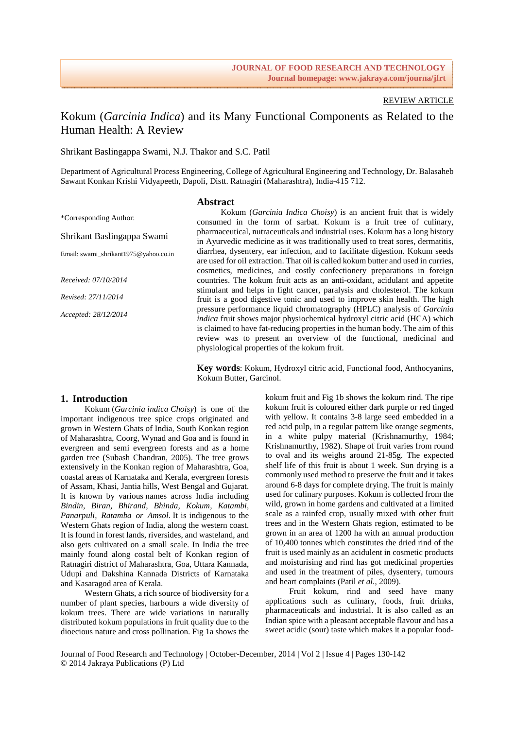# REVIEW ARTICLE

# Kokum (*Garcinia Indica*) and its Many Functional Components as Related to the Human Health: A Review

Shrikant Baslingappa Swami, N.J. Thakor and S.C. Patil

Department of Agricultural Process Engineering, College of Agricultural Engineering and Technology, Dr. Balasaheb Sawant Konkan Krishi Vidyapeeth, Dapoli, Distt. Ratnagiri (Maharashtra), India-415 712.

### **Abstract**

\*Corresponding Author:

Shrikant Baslingappa Swami

Email: swami\_shrikant1975@yahoo.co.in

*Received: 07/10/2014* 

*Revised: 27/11/2014* 

*Accepted: 28/12/2014* 

Kokum (*Garcinia Indica Choisy*) is an ancient fruit that is widely consumed in the form of sarbat. Kokum is a fruit tree of culinary, pharmaceutical, nutraceuticals and industrial uses. Kokum has a long history in Ayurvedic medicine as it was traditionally used to treat sores, dermatitis, diarrhea, dysentery, ear infection, and to facilitate digestion. Kokum seeds are used for oil extraction. That oil is called kokum butter and used in curries, cosmetics, medicines, and costly confectionery preparations in foreign countries. The kokum fruit acts as an anti-oxidant, acidulant and appetite stimulant and helps in fight cancer, paralysis and cholesterol. The kokum fruit is a good digestive tonic and used to improve skin health. The high pressure performance liquid chromatography (HPLC) analysis of *Garcinia indica* fruit shows major physiochemical hydroxyl citric acid (HCA) which is claimed to have fat-reducing properties in the human body. The aim of this review was to present an overview of the functional, medicinal and physiological properties of the kokum fruit.

**Key words**: Kokum, Hydroxyl citric acid, Functional food, Anthocyanins, Kokum Butter, Garcinol.

### **1. Introduction**

Kokum (*Garcinia indica Choisy*) is one of the important indigenous tree spice crops originated and grown in Western Ghats of India, South Konkan region of Maharashtra, Coorg, Wynad and Goa and is found in evergreen and semi evergreen forests and as a home garden tree (Subash Chandran, 2005). The tree grows extensively in the Konkan region of Maharashtra, Goa, coastal areas of Karnataka and Kerala, evergreen forests of Assam, Khasi, Jantia hills, West Bengal and Gujarat. It is known by various names across India including *Bindin, Biran, Bhirand, Bhinda, Kokum, Katambi, Panarpuli, Ratamba or Amsol.* It is indigenous to the Western Ghats region of India, along the western coast. It is found in forest lands, riversides, and wasteland, and also gets cultivated on a small scale. In India the tree mainly found along costal belt of Konkan region of Ratnagiri district of Maharashtra, Goa, Uttara Kannada, Udupi and Dakshina Kannada Districts of Karnataka and Kasaragod area of Kerala.

Western Ghats, a rich source of biodiversity for a number of plant species, harbours a wide diversity of kokum trees. There are wide variations in naturally distributed kokum populations in fruit quality due to the dioecious nature and cross pollination. Fig 1a shows the

kokum fruit and Fig 1b shows the kokum rind. The ripe kokum fruit is coloured either dark purple or red tinged with yellow. It contains 3-8 large seed embedded in a red acid pulp, in a regular pattern like orange segments, in a white pulpy material (Krishnamurthy, 1984; Krishnamurthy, 1982). Shape of fruit varies from round to oval and its weighs around 21-85g. The expected shelf life of this fruit is about 1 week. Sun drying is a commonly used method to preserve the fruit and it takes around 6-8 days for complete drying. The fruit is mainly used for culinary purposes. Kokum is collected from the wild, grown in home gardens and cultivated at a limited scale as a rainfed crop, usually mixed with other fruit trees and in the Western Ghats region, estimated to be grown in an area of 1200 ha with an annual production of 10,400 tonnes which constitutes the dried rind of the fruit is used mainly as an acidulent in cosmetic products and moisturising and rind has got medicinal properties and used in the treatment of piles, dysentery, tumours and heart complaints (Patil *et al.*, 2009).

Fruit kokum, rind and seed have many applications such as culinary, foods, fruit drinks, pharmaceuticals and industrial. It is also called as an Indian spice with a pleasant acceptable flavour and has a sweet acidic (sour) taste which makes it a popular food-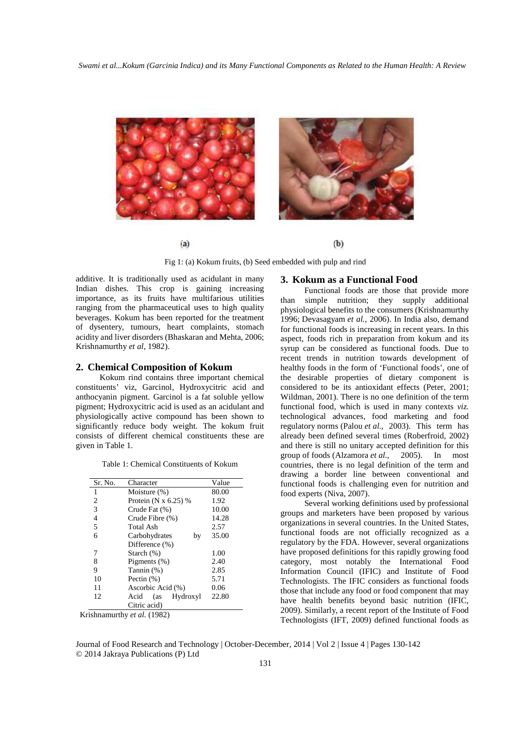

Fig 1: (a) Kokum fruits, (b) Seed embedded with pulp and rind

additive. It is traditionally used as acidulant in many Indian dishes. This crop is gaining increasing importance, as its fruits have multifarious utilities ranging from the pharmaceutical uses to high quality beverages. Kokum has been reported for the treatment of dysentery, tumours, heart complaints, stomach acidity and liver disorders (Bhaskaran and Mehta, 2006; Krishnamurthy *et al*, 1982).

### **2. Chemical Composition of Kokum**

Kokum rind contains three important chemical constituents' viz, Garcinol, Hydroxycitric acid and anthocyanin pigment. Garcinol is a fat soluble yellow pigment; Hydroxycitric acid is used as an acidulant and physiologically active compound has been shown to significantly reduce body weight. The kokum fruit consists of different chemical constituents these are given in Table 1.

|  |  | Table 1: Chemical Constituents of Kokum |  |  |
|--|--|-----------------------------------------|--|--|
|--|--|-----------------------------------------|--|--|

| Sr. No. | Character               | Value |
|---------|-------------------------|-------|
| 1       | Moisture $(\%)$         | 80.00 |
| 2       | Protein (N $x$ 6.25) %  | 1.92  |
| 3       | Crude Fat (%)           | 10.00 |
| 4       | Crude Fibre (%)         | 14.28 |
| 5       | Total Ash               | 2.57  |
| 6       | Carbohydrates<br>by     | 35.00 |
|         | Difference (%)          |       |
| 7       | Starch $(\%)$           | 1.00  |
| 8       | Pigments $(\%)$         | 2.40  |
| 9       | Tannin (%)              | 2.85  |
| 10      | Pectin $(\%)$           | 5.71  |
| 11      | Ascorbic Acid (%)       | 0.06  |
| 12      | Hydroxyl<br>Acid<br>(as | 22.80 |
|         | Citric acid)            |       |

Krishnamurthy *et al.* (1982)

# **3. Kokum as a Functional Food**

Functional foods are those that provide more than simple nutrition; they supply additional physiological benefits to the consumers (Krishnamurthy 1996; Devasagyam *et al.*, 2006). In India also, demand for functional foods is increasing in recent years. In this aspect, foods rich in preparation from kokum and its syrup can be considered as functional foods. Due to recent trends in nutrition towards development of healthy foods in the form of 'Functional foods', one of the desirable properties of dietary component is considered to be its antioxidant effects (Peter, 2001; Wildman, 2001). There is no one definition of the term functional food, which is used in many contexts *viz.*  technological advances, food marketing and food regulatory norms (Palou *et al*., 2003). This term has already been defined several times (Roberfroid, 2002) and there is still no unitary accepted definition for this group of foods (Alzamora *et al.*, 2005). In most countries, there is no legal definition of the term and drawing a border line between conventional and functional foods is challenging even for nutrition and food experts (Niva, 2007).

Several working definitions used by professional groups and marketers have been proposed by various organizations in several countries. In the United States, functional foods are not officially recognized as a regulatory by the FDA. However, several organizations have proposed definitions for this rapidly growing food category, most notably the International Food Information Council (IFIC) and Institute of Food Technologists. The IFIC considers as functional foods those that include any food or food component that may have health benefits beyond basic nutrition (IFIC, 2009). Similarly, a recent report of the Institute of Food Technologists (IFT, 2009) defined functional foods as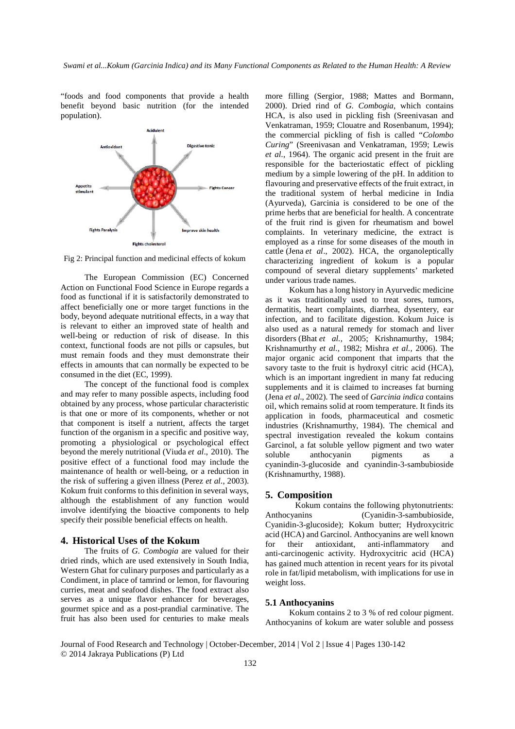"foods and food components that provide a health benefit beyond basic nutrition (for the intended population).



Fig 2: Principal function and medicinal effects of kokum

The European Commission (EC) Concerned Action on Functional Food Science in Europe regards a food as functional if it is satisfactorily demonstrated to affect beneficially one or more target functions in the body, beyond adequate nutritional effects, in a way that is relevant to either an improved state of health and well-being or reduction of risk of disease. In this context, functional foods are not pills or capsules, but must remain foods and they must demonstrate their effects in amounts that can normally be expected to be consumed in the diet (EC, 1999).

The concept of the functional food is complex and may refer to many possible aspects, including food obtained by any process, whose particular characteristic is that one or more of its components, whether or not that component is itself a nutrient, affects the target function of the organism in a specific and positive way, promoting a physiological or psychological effect beyond the merely nutritional (Viuda *et al*., 2010). The positive effect of a functional food may include the maintenance of health or well-being, or a reduction in the risk of suffering a given illness (Perez *et al.*, 2003). Kokum fruit conforms to this definition in several ways, although the establishment of any function would involve identifying the bioactive components to help specify their possible beneficial effects on health.

## **4. Historical Uses of the Kokum**

The fruits of *G. Combogia* are valued for their dried rinds, which are used extensively in South India, Western Ghat for culinary purposes and particularly as a Condiment, in place of tamrind or lemon, for flavouring curries, meat and seafood dishes. The food extract also serves as a unique flavor enhancer for beverages, gourmet spice and as a post-prandial carminative. The fruit has also been used for centuries to make meals

more filling (Sergior, 1988; Mattes and Bormann, 2000). Dried rind of *G. Combogia*, which contains HCA, is also used in pickling fish (Sreenivasan and Venkatraman, 1959; Clouatre and Rosenbanum, 1994); the commercial pickling of fish is called "*Colombo Curing*" (Sreenivasan and Venkatraman, 1959; Lewis *et al.*, 1964). The organic acid present in the fruit are responsible for the bacteriostatic effect of pickling medium by a simple lowering of the pH. In addition to flavouring and preservative effects of the fruit extract, in the traditional system of herbal medicine in India (Ayurveda), Garcinia is considered to be one of the prime herbs that are beneficial for health. A concentrate of the fruit rind is given for rheumatism and bowel complaints. In veterinary medicine, the extract is employed as a rinse for some diseases of the mouth in cattle (Jena *et al*., 2002). HCA, the organoleptically characterizing ingredient of kokum is a popular compound of several dietary supplements' marketed under various trade names.

Kokum has a long history in Ayurvedic medicine as it was traditionally used to treat sores, tumors, dermatitis, heart complaints, diarrhea, dysentery, ear infection, and to facilitate digestion. Kokum Juice is also used as a natural remedy for stomach and liver disorders (Bhat *et al.,* 2005; Krishnamurthy, 1984; Krishnamurthy *et al.,* 1982; Mishra *et al.,* 2006). The major organic acid component that imparts that the savory taste to the fruit is hydroxyl citric acid (HCA), which is an important ingredient in many fat reducing supplements and it is claimed to increases fat burning (Jena *et al.*, 2002). The seed of *Garcinia indica* contains oil, which remains solid at room temperature. It finds its application in foods, pharmaceutical and cosmetic industries (Krishnamurthy, 1984). The chemical and spectral investigation revealed the kokum contains Garcinol, a fat soluble yellow pigment and two water soluble anthocyanin pigments as a cyanindin-3-glucoside and cyanindin-3-sambubioside (Krishnamurthy, 1988).

#### **5. Composition**

Kokum contains the following phytonutrients: Anthocyanins (Cyanidin-3-sambubioside, Cyanidin-3-glucoside); Kokum butter; Hydroxycitric acid (HCA) and Garcinol. Anthocyanins are well known for their antioxidant, anti-inflammatory and anti-carcinogenic activity. Hydroxycitric acid (HCA) has gained much attention in recent years for its pivotal role in fat/lipid metabolism, with implications for use in weight loss.

# **5.1 Anthocyanins**

Kokum contains 2 to 3 % of red colour pigment. Anthocyanins of kokum are water soluble and possess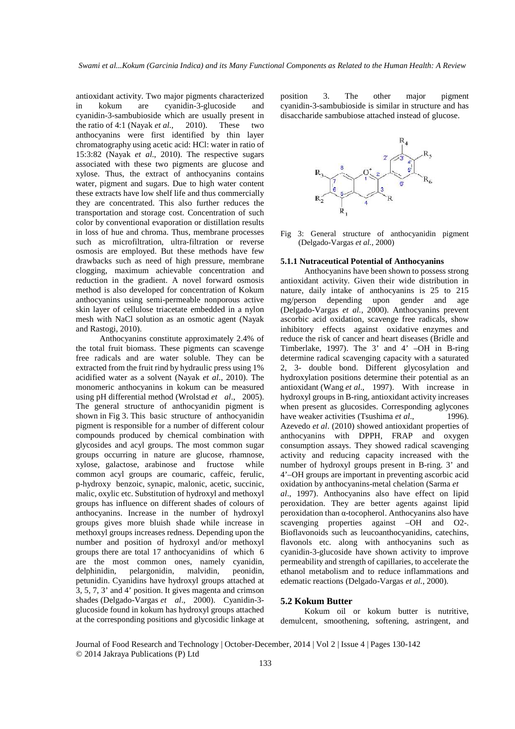antioxidant activity. Two major pigments characterized in kokum are cyanidin-3-glucoside and cyanidin-3-sambubioside which are usually present in the ratio of 4:1 (Nayak *et al.,* 2010). These two anthocyanins were first identified by thin layer chromatography using acetic acid: HCl: water in ratio of 15:3:82 (Nayak *et al*., 2010). The respective sugars associated with these two pigments are glucose and xylose. Thus, the extract of anthocyanins contains water, pigment and sugars. Due to high water content these extracts have low shelf life and thus commercially they are concentrated. This also further reduces the transportation and storage cost. Concentration of such color by conventional evaporation or distillation results in loss of hue and chroma. Thus, membrane processes such as microfiltration, ultra-filtration or reverse osmosis are employed. But these methods have few drawbacks such as need of high pressure, membrane clogging, maximum achievable concentration and reduction in the gradient. A novel forward osmosis method is also developed for concentration of Kokum anthocyanins using semi-permeable nonporous active skin layer of cellulose triacetate embedded in a nylon mesh with NaCl solution as an osmotic agent (Nayak and Rastogi, 2010).

Anthocyanins constitute approximately 2.4% of the total fruit biomass. These pigments can scavenge free radicals and are water soluble. They can be extracted from the fruit rind by hydraulic press using 1% acidified water as a solvent (Nayak *et al*., 2010). The monomeric anthocyanins in kokum can be measured using pH differential method (Wrolstad *et al*., 2005). The general structure of anthocyanidin pigment is shown in Fig 3. This basic structure of anthocyanidin pigment is responsible for a number of different colour compounds produced by chemical combination with glycosides and acyl groups. The most common sugar groups occurring in nature are glucose, rhamnose, xylose, galactose, arabinose and fructose while common acyl groups are coumaric, caffeic, ferulic, p-hydroxy benzoic, synapic, malonic, acetic, succinic, malic, oxylic etc. Substitution of hydroxyl and methoxyl groups has influence on different shades of colours of anthocyanins. Increase in the number of hydroxyl groups gives more bluish shade while increase in methoxyl groups increases redness. Depending upon the number and position of hydroxyl and/or methoxyl groups there are total 17 anthocyanidins of which 6 are the most common ones, namely cyanidin, delphinidin, pelargonidin, malvidin, peonidin, petunidin. Cyanidins have hydroxyl groups attached at 3, 5, 7, 3' and 4' position. It gives magenta and crimson shades (Delgado-Vargas *et al*., 2000). Cyanidin-3 glucoside found in kokum has hydroxyl groups attached at the corresponding positions and glycosidic linkage at position 3. The other major pigment cyanidin-3-sambubioside is similar in structure and has disaccharide sambubiose attached instead of glucose.



Fig 3: General structure of anthocyanidin pigment (Delgado-Vargas *et al.,* 2000)

### **5.1.1 Nutraceutical Potential of Anthocyanins**

Anthocyanins have been shown to possess strong antioxidant activity. Given their wide distribution in nature, daily intake of anthocyanins is 25 to 215 mg/person depending upon gender and age (Delgado-Vargas *et al.*, 2000). Anthocyanins prevent ascorbic acid oxidation, scavenge free radicals, show inhibitory effects against oxidative enzymes and reduce the risk of cancer and heart diseases (Bridle and Timberlake, 1997). The 3' and 4' –OH in B-ring determine radical scavenging capacity with a saturated 2, 3- double bond. Different glycosylation and hydroxylation positions determine their potential as an antioxidant (Wang *et al*., 1997). With increase in hydroxyl groups in B-ring, antioxidant activity increases when present as glucosides. Corresponding aglycones have weaker activities (Tsushima *et al.*, 1996). Azevedo *et al*. (2010) showed antioxidant properties of anthocyanins with DPPH, FRAP and oxygen consumption assays. They showed radical scavenging activity and reducing capacity increased with the number of hydroxyl groups present in B-ring. 3' and 4'–OH groups are important in preventing ascorbic acid oxidation by anthocyanins-metal chelation (Sarma *et al*., 1997). Anthocyanins also have effect on lipid peroxidation. They are better agents against lipid peroxidation than α-tocopherol. Anthocyanins also have scavenging properties against –OH and O2-. Bioflavonoids such as leucoanthocyanidins, catechins, flavonols etc. along with anthocyanins such as cyanidin-3-glucoside have shown activity to improve permeability and strength of capillaries, to accelerate the ethanol metabolism and to reduce inflammations and edematic reactions (Delgado-Vargas *et al.*, 2000).

# **5.2 Kokum Butter**

Kokum oil or kokum butter is nutritive, demulcent, smoothening, softening, astringent, and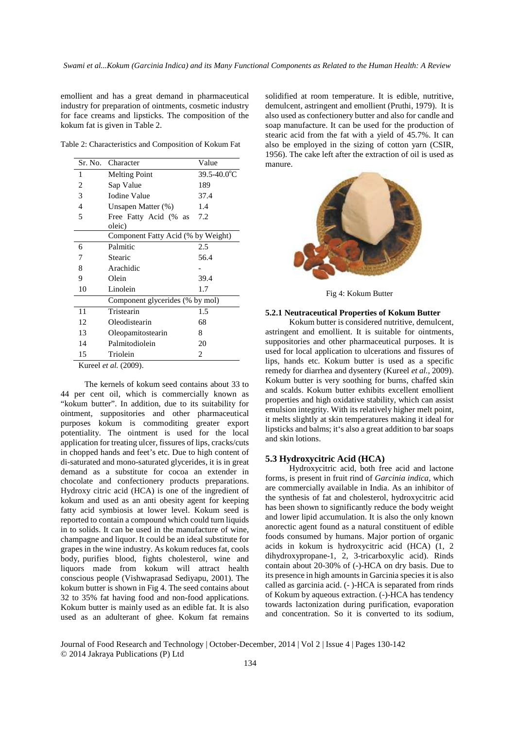emollient and has a great demand in pharmaceutical industry for preparation of ointments, cosmetic industry for face creams and lipsticks. The composition of the kokum fat is given in Table 2.

Table 2: Characteristics and Composition of Kokum Fat

| Sr. No. | Character                          | Value                   |  |
|---------|------------------------------------|-------------------------|--|
| 1       | <b>Melting Point</b>               | $39.5 - 40.0^{\circ}$ C |  |
| 2       | Sap Value                          | 189                     |  |
| 3       | <b>Iodine Value</b>                | 37.4                    |  |
| 4       | Unsapen Matter (%)                 | 1.4                     |  |
| 5       | Free Fatty Acid (% as              | 7.2                     |  |
|         | oleic)                             |                         |  |
|         | Component Fatty Acid (% by Weight) |                         |  |
| 6       | Palmitic                           | 2.5                     |  |
| 7       | Stearic                            | 56.4                    |  |
| 8       | Arachidic                          |                         |  |
| 9       | Olein                              | 39.4                    |  |
| 10      | Linolein                           | 1.7                     |  |
|         | Component glycerides (% by mol)    |                         |  |
| 11      | Tristearin                         | 1.5                     |  |
| 12      | Oleodistearin                      | 68                      |  |
| 13      | Oleopamitostearin                  | 8                       |  |
| 14      | Palmitodiolein                     | 20                      |  |
| 15      | Triolein                           | 2                       |  |

Kureel *et al.* (2009).

The kernels of kokum seed contains about 33 to 44 per cent oil, which is commercially known as "kokum butter". In addition, due to its suitability for ointment, suppositories and other pharmaceutical purposes kokum is commoditing greater export potentiality. The ointment is used for the local application for treating ulcer, fissures of lips, cracks/cuts in chopped hands and feet's etc. Due to high content of di-saturated and mono-saturated glycerides, it is in great demand as a substitute for cocoa an extender in chocolate and confectionery products preparations. Hydroxy citric acid (HCA) is one of the ingredient of kokum and used as an anti obesity agent for keeping fatty acid symbiosis at lower level. Kokum seed is reported to contain a compound which could turn liquids in to solids. It can be used in the manufacture of wine, champagne and liquor. It could be an ideal substitute for grapes in the wine industry. As kokum reduces fat, cools body, purifies blood, fights cholesterol, wine and liquors made from kokum will attract health conscious people (Vishwaprasad Sediyapu, 2001). The kokum butter is shown in Fig 4. The seed contains about 32 to 35% fat having food and non-food applications. Kokum butter is mainly used as an edible fat. It is also used as an adulterant of ghee. Kokum fat remains

solidified at room temperature. It is edible, nutritive, demulcent, astringent and emollient (Pruthi, 1979). It is also used as confectionery butter and also for candle and soap manufacture. It can be used for the production of stearic acid from the fat with a yield of 45.7%. It can also be employed in the sizing of cotton yarn (CSIR, 1956). The cake left after the extraction of oil is used as manure.



Fig 4: Kokum Butter

#### **5.2.1 Neutraceutical Properties of Kokum Butter**

Kokum butter is considered nutritive, demulcent, astringent and emollient. It is suitable for ointments, suppositories and other pharmaceutical purposes. It is used for local application to ulcerations and fissures of lips, hands etc. Kokum butter is used as a specific remedy for diarrhea and dysentery (Kureel *et al.*, 2009). Kokum butter is very soothing for burns, chaffed skin and scalds. Kokum butter exhibits excellent emollient properties and high oxidative stability, which can assist emulsion integrity. With its relatively higher melt point, it melts slightly at skin temperatures making it ideal for lipsticks and balms; it's also a great addition to bar soaps and skin lotions.

### **5.3 Hydroxycitric Acid (HCA)**

Hydroxycitric acid, both free acid and lactone forms, is present in fruit rind of *Garcinia indica*, which are commercially available in India. As an inhibitor of the synthesis of fat and cholesterol, hydroxycitric acid has been shown to significantly reduce the body weight and lower lipid accumulation. It is also the only known anorectic agent found as a natural constituent of edible foods consumed by humans. Major portion of organic acids in kokum is hydroxycitric acid (HCA) (1, 2 dihydroxypropane-1, 2, 3-tricarboxylic acid). Rinds contain about 20-30% of (-)-HCA on dry basis. Due to its presence in high amounts in Garcinia species it is also called as garcinia acid. (- )-HCA is separated from rinds of Kokum by aqueous extraction. (-)-HCA has tendency towards lactonization during purification, evaporation and concentration. So it is converted to its sodium,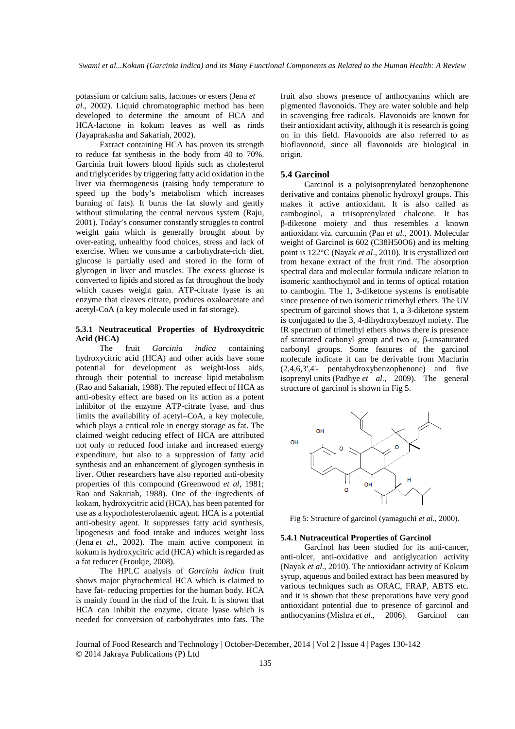potassium or calcium salts, lactones or esters (Jena *et al*., 2002). Liquid chromatographic method has been developed to determine the amount of HCA and HCA-lactone in kokum leaves as well as rinds (Jayaprakasha and Sakariah, 2002).

Extract containing HCA has proven its strength to reduce fat synthesis in the body from 40 to 70%. Garcinia fruit lowers blood lipids such as cholesterol and triglycerides by triggering fatty acid oxidation in the liver via thermogenesis (raising body temperature to speed up the body's metabolism which increases burning of fats). It burns the fat slowly and gently without stimulating the central nervous system (Raju, 2001). Today's consumer constantly struggles to control weight gain which is generally brought about by over-eating, unhealthy food choices, stress and lack of exercise. When we consume a carbohydrate-rich diet, glucose is partially used and stored in the form of glycogen in liver and muscles. The excess glucose is converted to lipids and stored as fat throughout the body which causes weight gain. ATP-citrate lyase is an enzyme that cleaves citrate, produces oxaloacetate and acetyl-CoA (a key molecule used in fat storage).

# **5.3.1 Neutraceutical Properties of Hydroxycitric Acid (HCA)**

The fruit *Garcinia indica* containing hydroxycitric acid (HCA) and other acids have some potential for development as weight-loss aids, through their potential to increase lipid metabolism (Rao and Sakariah, 1988). The reputed effect of HCA as anti-obesity effect are based on its action as a potent inhibitor of the enzyme ATP-citrate lyase, and thus limits the availability of acetyl–CoA, a key molecule, which plays a critical role in energy storage as fat. The claimed weight reducing effect of HCA are attributed not only to reduced food intake and increased energy expenditure, but also to a suppression of fatty acid synthesis and an enhancement of glycogen synthesis in liver. Other researchers have also reported anti-obesity properties of this compound (Greenwood *et al*, 1981; Rao and Sakariah, 1988). One of the ingredients of kokam, hydroxycitric acid (HCA), has been patented for use as a hypocholesterolaemic agent. HCA is a potential anti-obesity agent. It suppresses fatty acid synthesis, lipogenesis and food intake and induces weight loss (Jena *et al*., 2002). The main active component in kokum is hydroxycitric acid (HCA) which is regarded as a fat reducer (Froukje, 2008).

The HPLC analysis of *Garcinia indica* fruit shows major phytochemical HCA which is claimed to have fat- reducing properties for the human body. HCA is mainly found in the rind of the fruit. It is shown that HCA can inhibit the enzyme, citrate lyase which is needed for conversion of carbohydrates into fats. The fruit also shows presence of anthocyanins which are pigmented flavonoids. They are water soluble and help in scavenging free radicals. Flavonoids are known for their antioxidant activity, although it is research is going on in this field. Flavonoids are also referred to as bioflavonoid, since all flavonoids are biological in origin.

# **5.4 Garcinol**

Garcinol is a polyisoprenylated benzophenone derivative and contains phenolic hydroxyl groups. This makes it active antioxidant. It is also called as camboginol, a triisoprenylated chalcone. It has β-diketone moiety and thus resembles a known antioxidant viz. curcumin (Pan *et al.*, 2001). Molecular weight of Garcinol is 602 (C38H50O6) and its melting point is 122°C (Nayak *et al*., 2010). It is crystallized out from hexane extract of the fruit rind. The absorption spectral data and molecular formula indicate relation to isomeric xanthochymol and in terms of optical rotation to cambogin. The 1, 3-diketone systems is enolisable since presence of two isomeric trimethyl ethers. The UV spectrum of garcinol shows that 1, a 3-diketone system is conjugated to the 3, 4-dihydroxybenzoyl moiety. The IR spectrum of trimethyl ethers shows there is presence of saturated carbonyl group and two α, β-unsaturated carbonyl groups. Some features of the garcinol molecule indicate it can be derivable from Maclurin (2,4,6,3',4'- pentahydroxybenzophenone) and five isoprenyl units (Padhye *et al.*, 2009). The general structure of garcinol is shown in Fig 5.



Fig 5: Structure of garcinol (yamaguchi *et al.,* 2000).

### **5.4.1 Nutraceutical Properties of Garcinol**

Garcinol has been studied for its anti-cancer, anti-ulcer, anti-oxidative and antiglycation activity (Nayak *et al.*, 2010). The antioxidant activity of Kokum syrup, aqueous and boiled extract has been measured by various techniques such as ORAC, FRAP, ABTS etc. and it is shown that these preparations have very good antioxidant potential due to presence of garcinol and anthocyanins (Mishra *et al*., 2006). Garcinol can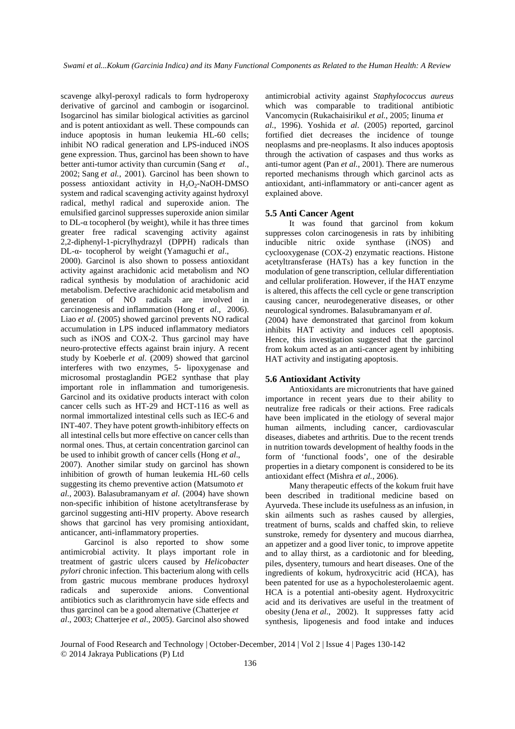scavenge alkyl-peroxyl radicals to form hydroperoxy derivative of garcinol and cambogin or isogarcinol. Isogarcinol has similar biological activities as garcinol and is potent antioxidant as well. These compounds can induce apoptosis in human leukemia HL-60 cells; inhibit NO radical generation and LPS-induced iNOS gene expression. Thus, garcinol has been shown to have better anti-tumor activity than curcumin (Sang *et al*., 2002; Sang *et al.*, 2001). Garcinol has been shown to possess antioxidant activity in  $H_2O_2$ -NaOH-DMSO system and radical scavenging activity against hydroxyl radical, methyl radical and superoxide anion. The emulsified garcinol suppresses superoxide anion similar to DL-α tocopherol (by weight), while it has three times greater free radical scavenging activity against 2,2-diphenyl-1-picrylhydrazyl (DPPH) radicals than DL-α- tocopherol by weight (Yamaguchi *et al*.,

2000). Garcinol is also shown to possess antioxidant activity against arachidonic acid metabolism and NO radical synthesis by modulation of arachidonic acid metabolism. Defective arachidonic acid metabolism and generation of NO radicals are involved in carcinogenesis and inflammation (Hong *et al*., 2006). Liao *et al*. (2005) showed garcinol prevents NO radical accumulation in LPS induced inflammatory mediators such as iNOS and COX-2. Thus garcinol may have neuro-protective effects against brain injury. A recent study by Koeberle *et al.* (2009) showed that garcinol interferes with two enzymes, 5- lipoxygenase and microsomal prostaglandin PGE2 synthase that play important role in inflammation and tumorigenesis. Garcinol and its oxidative products interact with colon cancer cells such as HT-29 and HCT-116 as well as normal immortalized intestinal cells such as IEC-6 and INT-407. They have potent growth-inhibitory effects on all intestinal cells but more effective on cancer cells than normal ones. Thus, at certain concentration garcinol can be used to inhibit growth of cancer cells (Hong *et al.*,

2007). Another similar study on garcinol has shown inhibition of growth of human leukemia HL-60 cells suggesting its chemo preventive action (Matsumoto *et al.*, 2003). Balasubramanyam *et al*. (2004) have shown non-specific inhibition of histone acetyltransferase by garcinol suggesting anti-HIV property. Above research shows that garcinol has very promising antioxidant, anticancer, anti-inflammatory properties.

Garcinol is also reported to show some antimicrobial activity. It plays important role in treatment of gastric ulcers caused by *Helicobacter pylori* chronic infection. This bacterium along with cells from gastric mucous membrane produces hydroxyl radicals and superoxide anions. Conventional antibiotics such as clarithromycin have side effects and thus garcinol can be a good alternative (Chatterjee *et al*., 2003; Chatterjee *et al*., 2005). Garcinol also showed

antimicrobial activity against *Staphylococcus aureus* which was comparable to traditional antibiotic Vancomycin (Rukachaisirikul *et al.*, 2005; Iinuma *et al.*, 1996). Yoshida *et al.* (2005) reported, garcinol fortified diet decreases the incidence of tounge neoplasms and pre-neoplasms. It also induces apoptosis through the activation of caspases and thus works as anti-tumor agent (Pan *et al.*, 2001). There are numerous reported mechanisms through which garcinol acts as antioxidant, anti-inflammatory or anti-cancer agent as explained above.

# **5.5 Anti Cancer Agent**

It was found that garcinol from kokum suppresses colon carcinogenesis in rats by inhibiting inducible nitric oxide synthase (iNOS) and cyclooxygenase (COX-2) enzymatic reactions. Histone acetyltransferase (HATs) has a key function in the modulation of gene transcription, cellular differentiation and cellular proliferation. However, if the HAT enzyme is altered, this affects the cell cycle or gene transcription causing cancer, neurodegenerative diseases, or other neurological syndromes. Balasubramanyam *et al*.

(2004) have demonstrated that garcinol from kokum inhibits HAT activity and induces cell apoptosis. Hence, this investigation suggested that the garcinol from kokum acted as an anti-cancer agent by inhibiting HAT activity and instigating apoptosis.

#### **5.6 Antioxidant Activity**

Antioxidants are micronutrients that have gained importance in recent years due to their ability to neutralize free radicals or their actions. Free radicals have been implicated in the etiology of several major human ailments, including cancer, cardiovascular diseases, diabetes and arthritis. Due to the recent trends in nutrition towards development of healthy foods in the form of 'functional foods', one of the desirable properties in a dietary component is considered to be its antioxidant effect (Mishra *et al.*, 2006).

Many therapeutic effects of the kokum fruit have been described in traditional medicine based on Ayurveda. These include its usefulness as an infusion, in skin ailments such as rashes caused by allergies, treatment of burns, scalds and chaffed skin, to relieve sunstroke, remedy for dysentery and mucous diarrhea, an appetizer and a good liver tonic, to improve appetite and to allay thirst, as a cardiotonic and for bleeding, piles, dysentery, tumours and heart diseases. One of the ingredients of kokum, hydroxycitric acid (HCA), has been patented for use as a hypocholesterolaemic agent. HCA is a potential anti-obesity agent. Hydroxycitric acid and its derivatives are useful in the treatment of obesity (Jena *et al.*, 2002). It suppresses fatty acid synthesis, lipogenesis and food intake and induces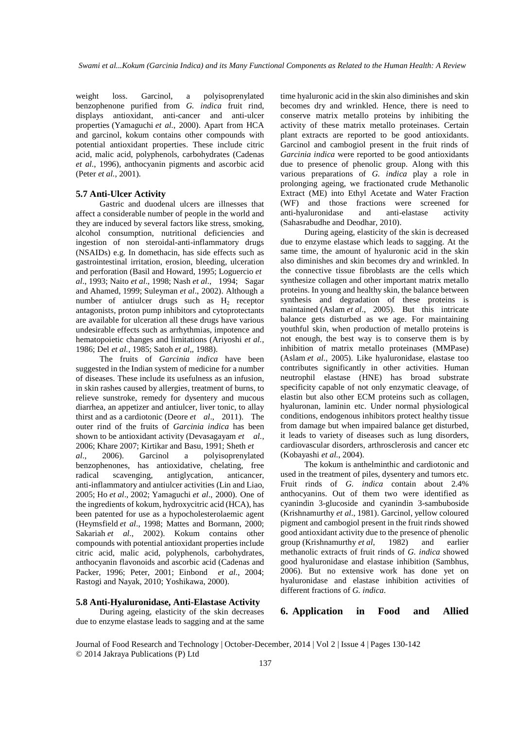weight loss. Garcinol, a polyisoprenylated benzophenone purified from *G. indica* fruit rind, displays antioxidant, anti-cancer and anti-ulcer properties (Yamaguchi *et al.*, 2000). Apart from HCA and garcinol, kokum contains other compounds with potential antioxidant properties. These include citric acid, malic acid, polyphenols, carbohydrates (Cadenas *et al.*, 1996), anthocyanin pigments and ascorbic acid (Peter *et al.*, 2001).

# **5.7 Anti-Ulcer Activity**

Gastric and duodenal ulcers are illnesses that affect a considerable number of people in the world and they are induced by several factors like stress, smoking, alcohol consumption, nutritional deficiencies and ingestion of non steroidal-anti-inflammatory drugs (NSAIDs) e.g. In domethacin, has side effects such as gastrointestinal irritation, erosion, bleeding, ulceration and perforation (Basil and Howard, 1995; Loguercio *et al*., 1993; Naito *et al*., 1998; Nash *et al*., 1994; Sagar and Ahamed, 1999; Suleyman *et al*., 2002). Although a number of antiulcer drugs such as  $H_2$  receptor antagonists, proton pump inhibitors and cytoprotectants are available for ulceration all these drugs have various undesirable effects such as arrhythmias, impotence and hematopoietic changes and limitations (Ariyoshi *et al.*, 1986; Del *et al.*, 1985; Satoh *et al*,, 1988).

The fruits of *Garcinia indica* have been suggested in the Indian system of medicine for a number of diseases. These include its usefulness as an infusion, in skin rashes caused by allergies, treatment of burns, to relieve sunstroke, remedy for dysentery and mucous diarrhea, an appetizer and antiulcer, liver tonic, to allay thirst and as a cardiotonic (Deore *et al*., 2011). The outer rind of the fruits of *Garcinia indica* has been shown to be antioxidant activity (Devasagayam *et al.*, 2006; Khare 2007; Kirtikar and Basu, 1991; Sheth *et al*., 2006). Garcinol a polyisoprenylated benzophenones, has antioxidative, chelating, free radical scavenging, antiglycation, anticancer, anti-inflammatory and antiulcer activities (Lin and Liao, 2005; Ho *et al*., 2002; Yamaguchi *et al*., 2000). One of the ingredients of kokum, hydroxycitric acid (HCA), has been patented for use as a hypocholesterolaemic agent (Heymsfield *et al*., 1998; Mattes and Bormann, 2000; Sakariah et al., 2002). Kokum contains other compounds with potential antioxidant properties include citric acid, malic acid, polyphenols, carbohydrates, anthocyanin flavonoids and ascorbic acid (Cadenas and Packer, 1996; Peter, 2001; Einbond *et al.*, 2004; Rastogi and Nayak, 2010; Yoshikawa, 2000).

#### **5.8 Anti-Hyaluronidase, Anti-Elastase Activity**

During ageing, elasticity of the skin decreases due to enzyme elastase leads to sagging and at the same time hyaluronic acid in the skin also diminishes and skin becomes dry and wrinkled. Hence, there is need to conserve matrix metallo proteins by inhibiting the activity of these matrix metallo proteinases. Certain plant extracts are reported to be good antioxidants. Garcinol and cambogiol present in the fruit rinds of *Garcinia indica* were reported to be good antioxidants due to presence of phenolic group. Along with this various preparations of *G. indica* play a role in prolonging ageing, we fractionated crude Methanolic Extract (ME) into Ethyl Acetate and Water Fraction (WF) and those fractions were screened for anti-hyaluronidase and anti-elastase activity (Sahasrabudhe and Deodhar, 2010).

During ageing, elasticity of the skin is decreased due to enzyme elastase which leads to sagging. At the same time, the amount of hyaluronic acid in the skin also diminishes and skin becomes dry and wrinkled. In the connective tissue fibroblasts are the cells which synthesize collagen and other important matrix metallo proteins. In young and healthy skin, the balance between synthesis and degradation of these proteins is maintained (Aslam *et al.*, 2005). But this intricate balance gets disturbed as we age. For maintaining youthful skin, when production of metallo proteins is not enough, the best way is to conserve them is by inhibition of matrix metallo proteinases (MMPase) (Aslam *et al.*, 2005). Like hyaluronidase, elastase too contributes significantly in other activities. Human neutrophil elastase (HNE) has broad substrate specificity capable of not only enzymatic cleavage, of elastin but also other ECM proteins such as collagen, hyaluronan, laminin etc. Under normal physiological conditions, endogenous inhibitors protect healthy tissue from damage but when impaired balance get disturbed, it leads to variety of diseases such as lung disorders, cardiovascular disorders, arthrosclerosis and cancer etc (Kobayashi *et al.*, 2004).

The kokum is anthelminthic and cardiotonic and used in the treatment of piles, dysentery and tumors etc. Fruit rinds of *G. indica* contain about 2.4% anthocyanins. Out of them two were identified as cyanindin 3-glucoside and cyanindin 3-sambuboside (Krishnamurthy *et al*., 1981). Garcinol, yellow coloured pigment and cambogiol present in the fruit rinds showed good antioxidant activity due to the presence of phenolic group (Krishnamurthy *et al*, 1982) and earlier methanolic extracts of fruit rinds of *G. indica* showed good hyaluronidase and elastase inhibition (Sambhus, 2006). But no extensive work has done yet on hyaluronidase and elastase inhibition activities of different fractions of *G. indica*.

# **6. Application in Food and Allied**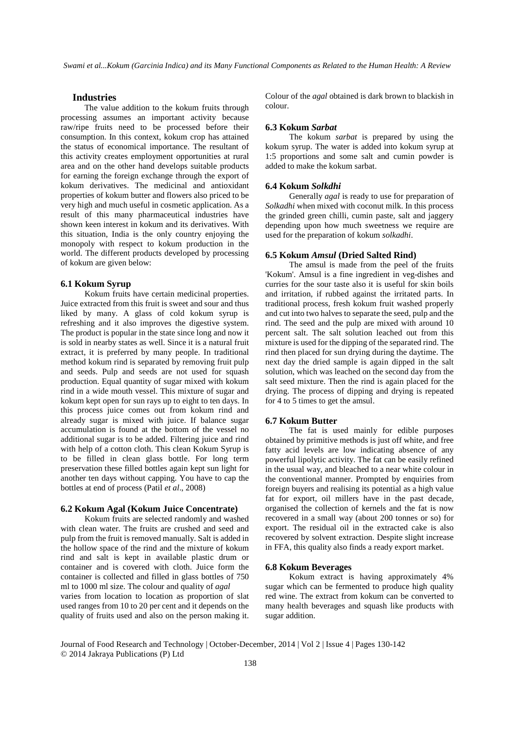# **Industries**

The value addition to the kokum fruits through processing assumes an important activity because raw/ripe fruits need to be processed before their consumption. In this context, kokum crop has attained the status of economical importance. The resultant of this activity creates employment opportunities at rural area and on the other hand develops suitable products for earning the foreign exchange through the export of kokum derivatives. The medicinal and antioxidant properties of kokum butter and flowers also priced to be very high and much useful in cosmetic application. As a result of this many pharmaceutical industries have shown keen interest in kokum and its derivatives. With this situation, India is the only country enjoying the monopoly with respect to kokum production in the world. The different products developed by processing of kokum are given below:

### **6.1 Kokum Syrup**

Kokum fruits have certain medicinal properties. Juice extracted from this fruit is sweet and sour and thus liked by many. A glass of cold kokum syrup is refreshing and it also improves the digestive system. The product is popular in the state since long and now it is sold in nearby states as well. Since it is a natural fruit extract, it is preferred by many people. In traditional method kokum rind is separated by removing fruit pulp and seeds. Pulp and seeds are not used for squash production. Equal quantity of sugar mixed with kokum rind in a wide mouth vessel. This mixture of sugar and kokum kept open for sun rays up to eight to ten days. In this process juice comes out from kokum rind and already sugar is mixed with juice. If balance sugar accumulation is found at the bottom of the vessel no additional sugar is to be added. Filtering juice and rind with help of a cotton cloth. This clean Kokum Syrup is to be filled in clean glass bottle. For long term preservation these filled bottles again kept sun light for another ten days without capping. You have to cap the bottles at end of process (Patil *et al*., 2008)

#### **6.2 Kokum Agal (Kokum Juice Concentrate)**

Kokum fruits are selected randomly and washed with clean water. The fruits are crushed and seed and pulp from the fruit is removed manually. Salt is added in the hollow space of the rind and the mixture of kokum rind and salt is kept in available plastic drum or container and is covered with cloth. Juice form the container is collected and filled in glass bottles of 750 ml to 1000 ml size. The colour and quality of *agal* varies from location to location as proportion of slat used ranges from 10 to 20 per cent and it depends on the quality of fruits used and also on the person making it.

Colour of the *agal* obtained is dark brown to blackish in colour.

# **6.3 Kokum** *Sarbat*

The kokum *sarbat* is prepared by using the kokum syrup. The water is added into kokum syrup at 1:5 proportions and some salt and cumin powder is added to make the kokum sarbat.

#### **6.4 Kokum** *Solkdhi*

Generally *agal* is ready to use for preparation of *Solkadhi* when mixed with coconut milk. In this process the grinded green chilli, cumin paste, salt and jaggery depending upon how much sweetness we require are used for the preparation of kokum *solkadhi*.

### **6.5 Kokum** *Amsul* **(Dried Salted Rind)**

The amsul is made from the peel of the fruits 'Kokum'. Amsul is a fine ingredient in veg-dishes and curries for the sour taste also it is useful for skin boils and irritation, if rubbed against the irritated parts. In traditional process, fresh kokum fruit washed properly and cut into two halves to separate the seed, pulp and the rind. The seed and the pulp are mixed with around 10 percent salt. The salt solution leached out from this mixture is used for the dipping of the separated rind. The rind then placed for sun drying during the daytime. The next day the dried sample is again dipped in the salt solution, which was leached on the second day from the salt seed mixture. Then the rind is again placed for the drying. The process of dipping and drying is repeated for 4 to 5 times to get the amsul.

### **6.7 Kokum Butter**

The fat is used mainly for edible purposes obtained by primitive methods is just off white, and free fatty acid levels are low indicating absence of any powerful lipolytic activity. The fat can be easily refined in the usual way, and bleached to a near white colour in the conventional manner. Prompted by enquiries from foreign buyers and realising its potential as a high value fat for export, oil millers have in the past decade, organised the collection of kernels and the fat is now recovered in a small way (about 200 tonnes or so) for export. The residual oil in the extracted cake is also recovered by solvent extraction. Despite slight increase in FFA, this quality also finds a ready export market.

#### **6.8 Kokum Beverages**

Kokum extract is having approximately 4% sugar which can be fermented to produce high quality red wine. The extract from kokum can be converted to many health beverages and squash like products with sugar addition.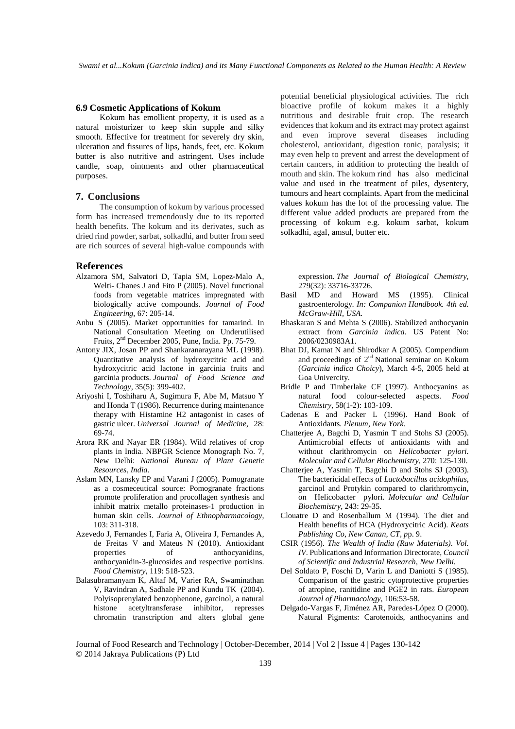### **6.9 Cosmetic Applications of Kokum**

Kokum has emollient property, it is used as a natural moisturizer to keep skin supple and silky smooth. Effective for treatment for severely dry skin, ulceration and fissures of lips, hands, feet, etc. Kokum butter is also nutritive and astringent. Uses include candle, soap, ointments and other pharmaceutical purposes.

### **7. Conclusions**

The consumption of kokum by various processed form has increased tremendously due to its reported health benefits. The kokum and its derivates, such as dried rind powder, sarbat, solkadhi, and butter from seed are rich sources of several high-value compounds with

#### **References**

- Alzamora SM, Salvatori D, Tapia SM, Lopez-Malo A, Welti- Chanes J and Fito P (2005). Novel functional foods from vegetable matrices impregnated with biologically active compounds. *Journal of Food Engineering,* 67: 205-14.
- Anbu S (2005). Market opportunities for tamarind. In National Consultation Meeting on Underutilised Fruits,  $2<sup>nd</sup>$  December 2005, Pune, India. Pp. 75-79.
- Antony JIX, Josan PP and Shankaranarayana ML (1998). Quantitative analysis of hydroxycitric acid and hydroxycitric acid lactone in garcinia fruits and garcinia products. *Journal of Food Science and Technology,* 35(5): 399-402.
- Ariyoshi I, Toshiharu A, Sugimura F, Abe M, Matsuo Y and Honda T (1986). Recurrence during maintenance therapy with Histamine H2 antagonist in cases of gastric ulcer. *Universal Journal of Medicine*, 28: 69-74.
- Arora RK and Nayar ER (1984). Wild relatives of crop plants in India. NBPGR Science Monograph No. 7, New Delhi: *National Bureau of Plant Genetic Resources, India.*
- Aslam MN, Lansky EP and Varani J (2005). Pomogranate as a cosmeceutical source: Pomogranate fractions promote proliferation and procollagen synthesis and inhibit matrix metallo proteinases-1 production in human skin cells. *Journal of Ethnopharmacology*, 103: 311-318.
- Azevedo J, Fernandes I, Faria A, Oliveira J, Fernandes A, de Freitas V and Mateus N (2010). Antioxidant properties of anthocyanidins, anthocyanidin-3-glucosides and respective portisins. *Food Chemistry*, 119: 518-523.
- Balasubramanyam K, Altaf M, Varier RA, Swaminathan V, Ravindran A, Sadhale PP and Kundu TK (2004). Polyisoprenylated benzophenone, garcinol, a natural histone acetyltransferase inhibitor, represses chromatin transcription and alters global gene

potential beneficial physiological activities. The rich bioactive profile of kokum makes it a highly nutritious and desirable fruit crop. The research evidences that kokum and its extract may protect against and even improve several diseases including cholesterol, antioxidant, digestion tonic, paralysis; it may even help to prevent and arrest the development of certain cancers, in addition to protecting the health of mouth and skin. The kokum rind has also medicinal value and used in the treatment of piles, dysentery, tumours and heart complaints. Apart from the medicinal values kokum has the lot of the processing value. The different value added products are prepared from the processing of kokum e.g. kokum sarbat, kokum solkadhi, agal, amsul, butter etc.

expression. *The Journal of Biological Chemistry*, 279(32): 33716-33726.

- Basil MD and Howard MS (1995). Clinical gastroenterology. *In: Companion Handbook. 4th ed. McGraw-Hill, USA.*
- Bhaskaran S and Mehta S (2006). Stabilized anthocyanin extract from *Garcinia indica*. US Patent No: 2006/0230983A1.
- Bhat DJ, Kamat N and Shirodkar A (2005). Compendium and proceedings of 2<sup>nd</sup> National seminar on Kokum (*Garcinia indica Choicy*), March 4-5, 2005 held at Goa Univercity.
- Bridle P and Timberlake CF (1997). Anthocyanins as natural food colour-selected aspects. *Food Chemistry*, 58(1-2): 103-109.
- Cadenas E and Packer L (1996). Hand Book of Antioxidants. *Plenum, New York.*
- Chatterjee A, Bagchi D, Yasmin T and Stohs SJ (2005). Antimicrobial effects of antioxidants with and without clarithromycin on *Helicobacter pylori. Molecular and Cellular Biochemistry*, 270: 125-130.
- Chatterjee A, Yasmin T, Bagchi D and Stohs SJ (2003). The bactericidal effects of *Lactobacillus acidophilus*, garcinol and Protykin compared to clarithromycin, on Helicobacter pylori. *Molecular and Cellular Biochemistry*, 243: 29-35.
- Clouatre D and Rosenballum M (1994). The diet and Health benefits of HCA (Hydroxycitric Acid). *Keats Publishing Co, New Canan, CT, p*p. 9.
- CSIR (1956). *The Wealth of India (Raw Materials)*. *Vol. IV*. Publications and Information Directorate, *Council of Scientific and Industrial Research, New Delhi.*
- Del Soldato P, Foschi D, Varin L and Daniotti S (1985). Comparison of the gastric cytoprotective properties of atropine, ranitidine and PGE2 in rats. *European Journal of Pharmacology*, 106:53-58.
- Delgado-Vargas F, Jiménez AR, Paredes-López O (2000). Natural Pigments: Carotenoids, anthocyanins and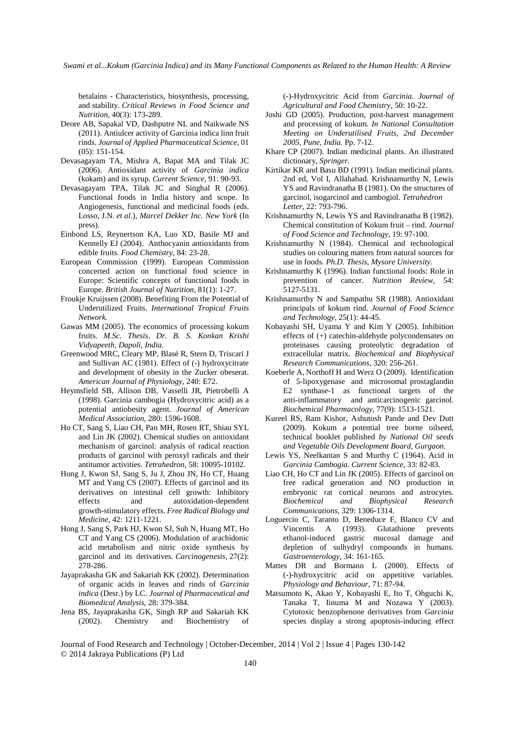*Swami et al...Kokum (Garcinia Indica) and its Many Functional Components as Related to the Human Health: A Review* 

betalains - Characteristics, biosynthesis, processing, and stability. *Critical Reviews in Food Science and Nutrition*, 40(3): 173-289.

- Deore AB, Sapakal VD, Dashputre NL and Naikwade NS (2011). Antiulcer activity of Garcinia indica linn fruit rinds. *Journal of Applied Pharmaceutical Science,* 01 (05): 151-154.
- Devasagayam TA, Mishra A, Bapat MA and Tilak JC (2006). Antioxidant activity of *Garcinia indica* (kokam) and its syrup. *Current Science*, 91: 90-93.
- Devasagayam TPA, Tilak JC and Singhal R (2006). Functional foods in India history and scope. In Angiogenesis, functional and medicinal foods (eds. Losso, J.N. *et al*.), *Marcel Dekker Inc. New York* (In press).
- Einbond LS, Reynertson KA, Luo XD, Basile MJ and Kennelly EJ (2004). Anthocyanin antioxidants from edible fruits. *Food Chemistry*, 84: 23-28.
- European Commission (1999). European Commission concerted action on functional food science in Europe: Scientific concepts of functional foods in Europe. *British Journal of Nutrition,* 81(1): 1-27.
- Froukje Kruijssen (2008). Benefiting From the Potential of Underutilized Fruits. *International Tropical Fruits Network.*
- Gawas MM (2005). The economics of processing kokum fruits. *M.Sc. Thesis, Dr. B. S. Konkan Krishi Vidyapeeth, Dapoli, India.*
- Greenwood MRC, Cleary MP, Blasé R, Stern D, Triscari J and Sullivan AC (1981). Effect of (-) hydroxycitrate and development of obesity in the Zucker obeserat. *American Journal of Physiology*, 240: E72.
- Heymsfield SB, Allison DB, Vasselli JR, Pietrobelli A (1998). Garcinia cambogia (Hydroxycitric acid) as a potential antiobesity agent. *Journal of American Medical Association,* 280: 1596-1608.
- Ho CT, Sang S, Liao CH, Pan MH, Rosen RT, Shiau SYL and Lin JK (2002). Chemical studies on antioxidant mechanism of garcinol: analysis of radical reaction products of garcinol with peroxyl radicals and their antitumor activities. *Tetrahedron*, 58: 10095-10102.
- Hong J, Kwon SJ, Sang S, Ju J, Zhou JN, Ho CT, Huang MT and Yang CS (2007). Effects of garcinol and its derivatives on intestinal cell growth: Inhibitory effects and autoxidation-dependent growth-stimulatory effects. *Free Radical Biology and Medicine*, 42: 1211-1221.
- Hong J, Sang S, Park HJ, Kwon SJ, Suh N, Huang MT, Ho CT and Yang CS (2006). Modulation of arachidonic acid metabolism and nitric oxide synthesis by garcinol and its derivatives. *Carcinogenesis*, 27(2): 278-286.
- Jayaprakasha GK and Sakariah KK (2002). Determination of organic acids in leaves and rinds of *Garcinia indica* (Desr.) by LC. *Journal of Pharmaceutical and Biomedical Analysis*, 28: 379-384.
- Jena BS, Jayaprakasha GK, Singh RP and Sakariah KK (2002). Chemistry and Biochemistry of

(-)-Hydroxycitric Acid from *Garcinia. Journal of Agricultural and Food Chemistry*, 50: 10-22.

- Joshi GD (2005). Production, post-harvest management and processing of kokum. *In National Consultation Meeting on Underutilised Fruits, 2nd December 2005, Pune, India.* Pp. 7-12.
- Khare CP (2007). Indian medicinal plants. An illustrated dictionary*, Springer.*
- Kirtikar KR and Basu BD (1991). Indian medicinal plants. 2nd ed, Vol I, Allahabad. Krishnamurthy N, Lewis YS and Ravindranatha B (1981). On the structures of garcinol, isogarcinol and cambogiol. *Tetrahedron Letter*, 22: 793-796.
- Krishnamurthy N, Lewis YS and Ravindranatha B (1982). Chemical constitution of Kokum fruit – rind. *Journal of Food Science and Technology*, 19: 97-100.
- Krishnamurthy N (1984). Chemical and technological studies on colouring matters from natural sources for use in foods. *Ph.D. Thesis, Mysore University.*
- Krishnamurthy K (1996). Indian functional foods: Role in prevention of cancer. *Nutrition Review*, 54: 5127-5131.
- Krishnamurthy N and Sampathu SR (1988). Antioxidant principals of kokum rind. *Journal of Food Science and Technology*, 25(1): 44-45.
- Kobayashi SH, Uyama Y and Kim Y (2005). Inhibition effects of (+) catechin-aldehyde polycondensates on proteinases causing proteolytic degradation of extracellular matrix. *Biochemical and Biophysical Research Communications*, 320: 256-261.
- Koeberle A, Northoff H and Werz O (2009). Identification of 5-lipoxygenase and microsomal prostaglandin E2 synthase-1 as functional targets of the anti-inflammatory and anticarcinogenic garcinol. *Biochemical Pharmacology*, 77(9): 1513-1521.
- Kureel RS, Ram Kishor, Ashutosh Pande and Dev Dutt (2009). Kokum a potential tree borne oilseed, technical booklet published *by National Oil seeds and Vegetable Oils Development Board, Gurgaon.*
- Lewis YS, Neelkantan S and Murthy C (1964). Acid in *Garcinia Cambogia*. *Current Science*, 33: 82-83.
- Liao CH, Ho CT and Lin JK (2005). Effects of garcinol on free radical generation and NO production in embryonic rat cortical neurons and astrocytes. *Biochemical and Biophysical Research Communications*, 329: 1306-1314.
- Loguercio C, Taranto D, Beneduce F, Blanco CV and Vincentis A (1993). Glutathione prevents ethanol-induced gastric mucosal damage and depletion of sulhydryl compounds in humans. *Gastroenterology*, 34: 161-165.
- Mattes DR and Bormann L (2000). Effects of (-)-hydroxycitric acid on appetitive variables. *Physiology and Behaviour*, 71: 87-94.
- Matsumoto K, Akao Y, Kobayashi E, Ito T, Ohguchi K, Tanaka T, Iinuma M and Nozawa Y (2003). Cytotoxic benzophenone derivatives from *Garcinia*  species display a strong apoptosis-inducing effect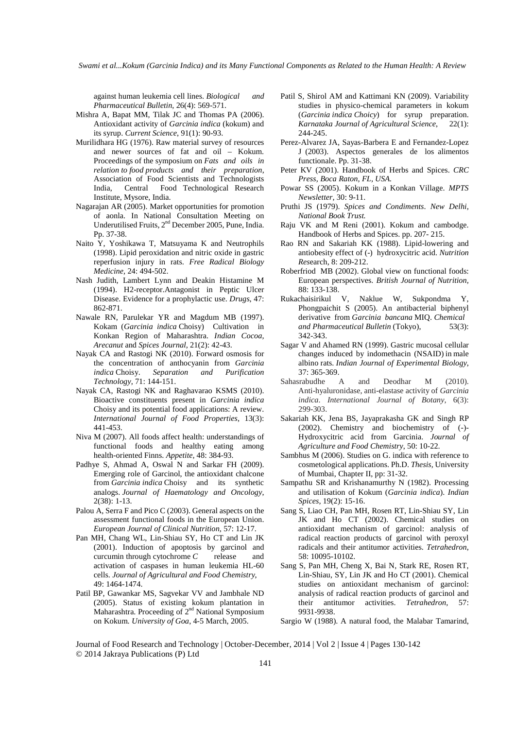against human leukemia cell lines. *Biological and Pharmaceutical Bulletin*, 26(4): 569-571.

- Mishra A, Bapat MM, Tilak JC and Thomas PA (2006). Antioxidant activity of *Garcinia indica* (kokum) and its syrup. *Current Science*, 91(1): 90-93.
- Murilidhara HG (1976). Raw material survey of resources and newer sources of fat and oil – Kokum. Proceedings of the symposium on *Fats and oils in relation to food products and their preparation*, Association of Food Scientists and Technologists India, Central Food Technological Research Institute, Mysore, India.
- Nagarajan AR (2005). Market opportunities for promotion of aonla. In National Consultation Meeting on Underutilised Fruits,  $2<sup>nd</sup>$  December 2005, Pune, India. Pp. 37-38.
- Naito Y, Yoshikawa T, Matsuyama K and Neutrophils (1998). Lipid peroxidation and nitric oxide in gastric reperfusion injury in rats. *Free Radical Biology Medicine,* 24: 494-502.
- Nash Judith, Lambert Lynn and Deakin Histamine M (1994). H2-receptor.Antagonist in Peptic Ulcer Disease. Evidence for a prophylactic use. *Drugs*, 47: 862-871.
- Nawale RN, Parulekar YR and Magdum MB (1997). Kokam (*Garcinia indica* Choisy) Cultivation in Konkan Region of Maharashtra. *Indian Cocoa, Arecanut* and *Spices Journal,* 21(2): 42-43.
- Nayak CA and Rastogi NK (2010). Forward osmosis for the concentration of anthocyanin from *Garcinia indica* Choisy. *Separation and Purification Technology*, 71: 144-151.
- Nayak CA, Rastogi NK and Raghavarao KSMS (2010). Bioactive constituents present in *Garcinia indica*  Choisy and its potential food applications: A review. *International Journal of Food Properties*, 13(3): 441-453.
- Niva M (2007). All foods affect health: understandings of functional foods and healthy eating among health-oriented Finns. *Appetite,* 48: 384-93.
- Padhye S, Ahmad A, Oswal N and Sarkar FH (2009). Emerging role of Garcinol, the antioxidant chalcone from *Garcinia indica* Choisy and its synthetic analogs. *Journal of Haematology and Oncology*, 2(38): 1-13.
- Palou A, Serra F and Pico C (2003). General aspects on the assessment functional foods in the European Union. *European Journal of Clinical Nutrition,* 57: 12-17.
- Pan MH, Chang WL, Lin-Shiau SY, Ho CT and Lin JK (2001). Induction of apoptosis by garcinol and curcumin through cytochrome *C* release and activation of caspases in human leukemia HL-60 cells. *Journal of Agricultural and Food Chemistry*, 49: 1464-1474.
- Patil BP, Gawankar MS, Sagvekar VV and Jambhale ND (2005). Status of existing kokum plantation in Maharashtra. Proceeding of  $2<sup>nd</sup>$  National Symposium on Kokum. *University of Goa*, 4-5 March, 2005.
- Patil S, Shirol AM and Kattimani KN (2009). Variability studies in physico-chemical parameters in kokum (*Garcinia indica Choicy*) for syrup preparation. *Karnataka Journal of Agricultural Science*, 22(1): 244-245.
- Perez-Alvarez JA, Sayas-Barbera E and Fernandez-Lopez J (2003). Aspectos generales de los alimentos functionale. Pp. 31-38.
- Peter KV (2001). Handbook of Herbs and Spices. *CRC Press, Boca Raton, FL, USA.*
- Powar SS (2005). Kokum in a Konkan Village. *MPTS Newsletter,* 30: 9-11.
- Pruthi JS (1979). *Spices and Condiments*. *New Delhi, National Book Trust.*
- Raju VK and M Reni (2001). Kokum and cambodge. Handbook of Herbs and Spices. pp. 207- 215.
- Rao RN and Sakariah KK (1988). Lipid-lowering and antiobesity effect of (-) hydroxycitric acid. *Nutrition Res*earch, 8: 209-212.
- Roberfriod MB (2002). Global view on functional foods: European perspectives. *British Journal of Nutrition,* 88: 133-138.
- Rukachaisirikul V, Naklue W, Sukpondma Y, Phongpaichit S (2005). An antibacterial biphenyl derivative from *Garcinia bancana* MIQ. *Chemical and Pharmaceutical Bulletin* (Tokyo), 53(3): 342-343.
- Sagar V and Ahamed RN (1999). Gastric mucosal cellular changes induced by indomethacin (NSAID) in male albino rats. *Indian Journal of Experimental Biology*, 37: 365-369.
- Sahasrabudhe A and Deodhar M (2010). Anti-hyaluronidase, anti-elastase activity of *Garcinia indica*. *International Journal of Botany,* 6(3): 299-303.
- Sakariah KK, Jena BS, Jayaprakasha GK and Singh RP (2002). Chemistry and biochemistry of (-)- Hydroxycitric acid from Garcinia. *Journal of Agriculture and Food Chemistry*, 50: 10-22.
- Sambhus M (2006). Studies on G. indica with reference to cosmetological applications. Ph.D. *Thesis,* University of Mumbai, Chapter II, pp: 31-32.
- Sampathu SR and Krishanamurthy N (1982). Processing and utilisation of Kokum (*Garcinia indica*). *Indian Spices,* 19(2): 15-16.
- Sang S, Liao CH, Pan MH, Rosen RT, Lin-Shiau SY, Lin JK and Ho CT (2002). Chemical studies on antioxidant mechanism of garcinol: analysis of radical reaction products of garcinol with peroxyl radicals and their antitumor activities. *Tetrahedron*, 58: 10095-10102.
- Sang S, Pan MH, Cheng X, Bai N, Stark RE, Rosen RT, Lin-Shiau, SY, Lin JK and Ho CT (2001). Chemical studies on antioxidant mechanism of garcinol: analysis of radical reaction products of garcinol and their antitumor activities. *Tetrahedron,* 57: 9931-9938.
- Sargio W (1988). A natural food, the Malabar Tamarind,